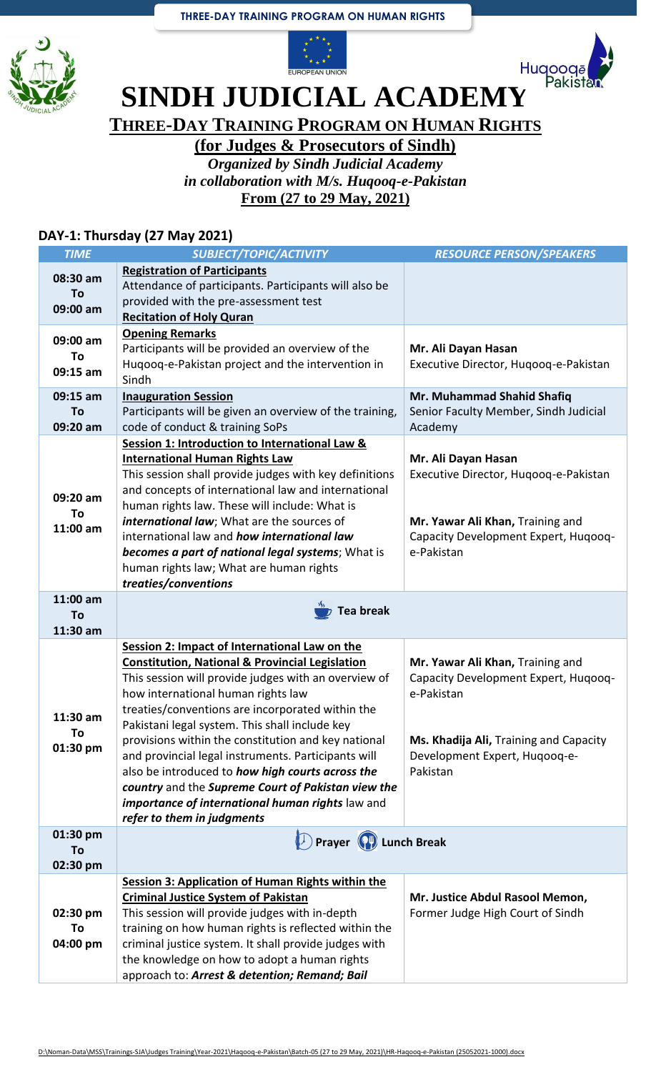





**SINDH JUDICIAL ACADEMY** 

**THREE-DAY TRAINING PROGRAM ON HUMAN RIGHTS**

**(for Judges & Prosecutors of Sindh)**

*Organized by Sindh Judicial Academy in collaboration with M/s. Huqooq-e-Pakistan* **From (27 to 29 May, 2021)**

## **DAY-1: Thursday (27 May 2021)**

| <b>TIME</b>                | SUBJECT/TOPIC/ACTIVITY                                                                                                                                                                                                                                                                                                                                                                                                                                                                                                                  | <b>RESOURCE PERSON/SPEAKERS</b>                                                                                                                                               |  |
|----------------------------|-----------------------------------------------------------------------------------------------------------------------------------------------------------------------------------------------------------------------------------------------------------------------------------------------------------------------------------------------------------------------------------------------------------------------------------------------------------------------------------------------------------------------------------------|-------------------------------------------------------------------------------------------------------------------------------------------------------------------------------|--|
| 08:30 am<br>To<br>09:00 am | <b>Registration of Participants</b><br>Attendance of participants. Participants will also be<br>provided with the pre-assessment test<br><b>Recitation of Holy Quran</b>                                                                                                                                                                                                                                                                                                                                                                |                                                                                                                                                                               |  |
| 09:00 am<br>To<br>09:15 am | <b>Opening Remarks</b><br>Participants will be provided an overview of the<br>Hugoog-e-Pakistan project and the intervention in<br>Sindh                                                                                                                                                                                                                                                                                                                                                                                                | Mr. Ali Dayan Hasan<br>Executive Director, Hugoog-e-Pakistan                                                                                                                  |  |
| 09:15 am<br>To<br>09:20 am | <b>Inauguration Session</b><br>Participants will be given an overview of the training,<br>code of conduct & training SoPs                                                                                                                                                                                                                                                                                                                                                                                                               | Mr. Muhammad Shahid Shafiq<br>Senior Faculty Member, Sindh Judicial<br>Academy                                                                                                |  |
| 09:20 am<br>To<br>11:00 am | Session 1: Introduction to International Law &<br><b>International Human Rights Law</b><br>This session shall provide judges with key definitions<br>and concepts of international law and international<br>human rights law. These will include: What is<br>international law; What are the sources of<br>international law and how international law<br>becomes a part of national legal systems; What is<br>human rights law; What are human rights<br>treaties/conventions                                                          | Mr. Ali Dayan Hasan<br>Executive Director, Hugoog-e-Pakistan<br>Mr. Yawar Ali Khan, Training and<br>Capacity Development Expert, Huqooq-<br>e-Pakistan                        |  |
| 11:00 am<br>To<br>11:30 am | <b>Tea break</b>                                                                                                                                                                                                                                                                                                                                                                                                                                                                                                                        |                                                                                                                                                                               |  |
| 11:30 am<br>To<br>01:30 pm | Session 2: Impact of International Law on the<br><b>Constitution, National &amp; Provincial Legislation</b><br>This session will provide judges with an overview of<br>how international human rights law<br>treaties/conventions are incorporated within the<br>Pakistani legal system. This shall include key<br>provisions within the constitution and key national<br>and provincial legal instruments. Participants will<br>also be introduced to how high courts across the<br>country and the Supreme Court of Pakistan view the | Mr. Yawar Ali Khan, Training and<br>Capacity Development Expert, Huqooq-<br>e-Pakistan<br>Ms. Khadija Ali, Training and Capacity<br>Development Expert, Hugoog-e-<br>Pakistan |  |
| 01:30 pm<br>To<br>02:30 pm | importance of international human rights law and<br>refer to them in judgments<br><b>D</b> Prayer (P) Lunch Break                                                                                                                                                                                                                                                                                                                                                                                                                       |                                                                                                                                                                               |  |
| 02:30 pm<br>To<br>04:00 pm | Session 3: Application of Human Rights within the<br><b>Criminal Justice System of Pakistan</b><br>This session will provide judges with in-depth<br>training on how human rights is reflected within the<br>criminal justice system. It shall provide judges with<br>the knowledge on how to adopt a human rights<br>approach to: Arrest & detention; Remand; Bail                                                                                                                                                                     | Mr. Justice Abdul Rasool Memon,<br>Former Judge High Court of Sindh                                                                                                           |  |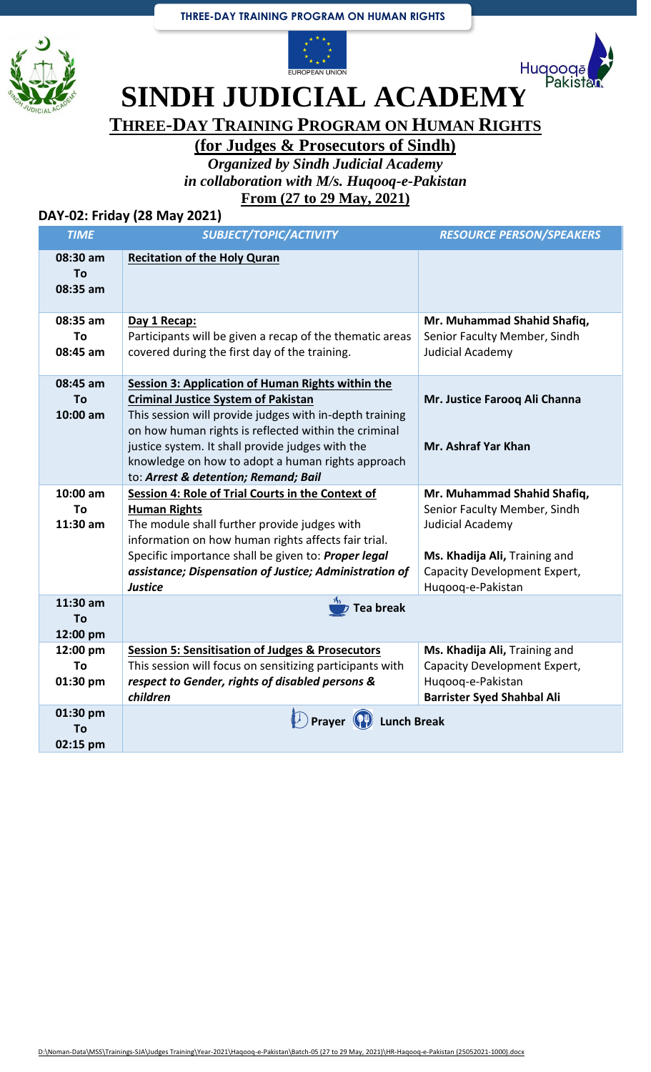## **THREE-DAY TRAINING PROGRAM ON HUMAN RIGHTS**







**SINDH JUDICIAL ACADEMY** 

**THREE-DAY TRAINING PROGRAM ON HUMAN RIGHTS**

**(for Judges & Prosecutors of Sindh)**

*Organized by Sindh Judicial Academy in collaboration with M/s. Huqooq-e-Pakistan* **From (27 to 29 May, 2021)**

## **DAY-02: Friday (28 May 2021)**

| <b>TIME</b>                    | SUBJECT/TOPIC/ACTIVITY                                                                                                                                                                                                                                                                                                                                                     | <b>RESOURCE PERSON/SPEAKERS</b>                                                                                                                                       |
|--------------------------------|----------------------------------------------------------------------------------------------------------------------------------------------------------------------------------------------------------------------------------------------------------------------------------------------------------------------------------------------------------------------------|-----------------------------------------------------------------------------------------------------------------------------------------------------------------------|
| 08:30 am<br>To<br>08:35 am     | <b>Recitation of the Holy Quran</b>                                                                                                                                                                                                                                                                                                                                        |                                                                                                                                                                       |
| 08:35 am<br>To<br>08:45 am     | Day 1 Recap:<br>Participants will be given a recap of the thematic areas<br>covered during the first day of the training.                                                                                                                                                                                                                                                  | Mr. Muhammad Shahid Shafiq,<br>Senior Faculty Member, Sindh<br>Judicial Academy                                                                                       |
| 08:45 am<br>To<br>10:00 am     | <b>Session 3: Application of Human Rights within the</b><br><b>Criminal Justice System of Pakistan</b><br>This session will provide judges with in-depth training<br>on how human rights is reflected within the criminal<br>justice system. It shall provide judges with the<br>knowledge on how to adopt a human rights approach<br>to: Arrest & detention; Remand; Bail | Mr. Justice Farooq Ali Channa<br>Mr. Ashraf Yar Khan                                                                                                                  |
| $10:00$ am<br>To<br>$11:30$ am | Session 4: Role of Trial Courts in the Context of<br><b>Human Rights</b><br>The module shall further provide judges with<br>information on how human rights affects fair trial.<br>Specific importance shall be given to: Proper legal<br>assistance; Dispensation of Justice; Administration of<br><b>Justice</b>                                                         | Mr. Muhammad Shahid Shafiq,<br>Senior Faculty Member, Sindh<br>Judicial Academy<br>Ms. Khadija Ali, Training and<br>Capacity Development Expert,<br>Huqooq-e-Pakistan |
| 11:30 am<br>To<br>12:00 pm     | <b>Tea break</b>                                                                                                                                                                                                                                                                                                                                                           |                                                                                                                                                                       |
| 12:00 pm<br>To<br>01:30 pm     | <b>Session 5: Sensitisation of Judges &amp; Prosecutors</b><br>This session will focus on sensitizing participants with<br>respect to Gender, rights of disabled persons &<br>children                                                                                                                                                                                     | Ms. Khadija Ali, Training and<br>Capacity Development Expert,<br>Hugoog-e-Pakistan<br><b>Barrister Syed Shahbal Ali</b>                                               |
| 01:30 pm<br>To<br>02:15 pm     | <b>Lunch Break</b><br><b>Prayer</b>                                                                                                                                                                                                                                                                                                                                        |                                                                                                                                                                       |